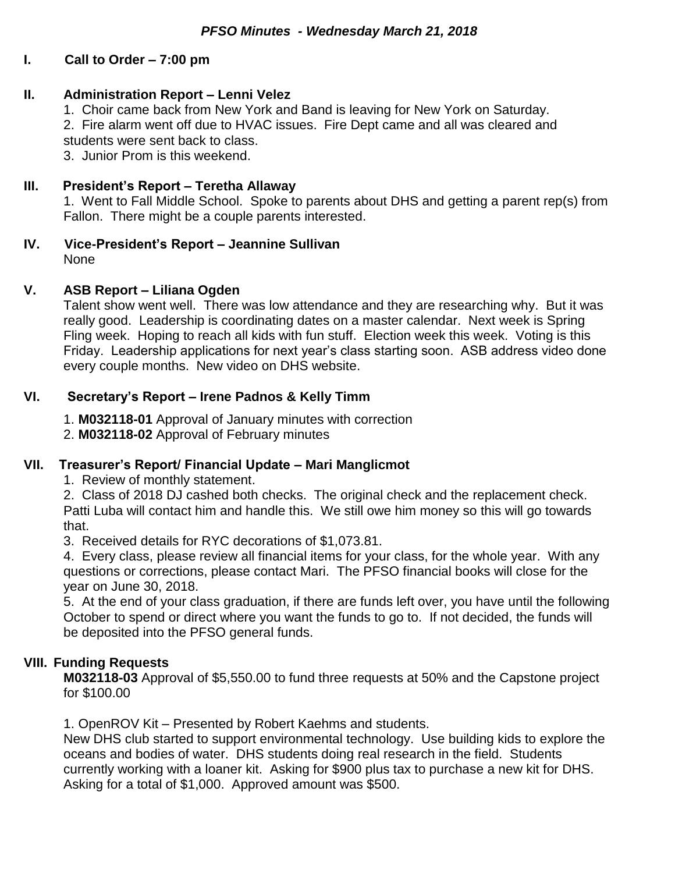# **I. Call to Order – 7:00 pm**

## **II. Administration Report – Lenni Velez**

1. Choir came back from New York and Band is leaving for New York on Saturday.

2. Fire alarm went off due to HVAC issues. Fire Dept came and all was cleared and students were sent back to class.

3. Junior Prom is this weekend.

## **III. President's Report – Teretha Allaway**

1. Went to Fall Middle School. Spoke to parents about DHS and getting a parent rep(s) from Fallon. There might be a couple parents interested.

**IV. Vice-President's Report – Jeannine Sullivan** None

## **V. ASB Report – Liliana Ogden**

Talent show went well. There was low attendance and they are researching why. But it was really good. Leadership is coordinating dates on a master calendar. Next week is Spring Fling week. Hoping to reach all kids with fun stuff. Election week this week. Voting is this Friday. Leadership applications for next year's class starting soon. ASB address video done every couple months. New video on DHS website.

## **VI. Secretary's Report – Irene Padnos & Kelly Timm**

1. **M032118-01** Approval of January minutes with correction

2. **M032118-02** Approval of February minutes

#### **VII. Treasurer's Report/ Financial Update – Mari Manglicmot**

1. Review of monthly statement.

2. Class of 2018 DJ cashed both checks. The original check and the replacement check. Patti Luba will contact him and handle this. We still owe him money so this will go towards that.

3. Received details for RYC decorations of \$1,073.81.

4. Every class, please review all financial items for your class, for the whole year. With any questions or corrections, please contact Mari. The PFSO financial books will close for the year on June 30, 2018.

5. At the end of your class graduation, if there are funds left over, you have until the following October to spend or direct where you want the funds to go to. If not decided, the funds will be deposited into the PFSO general funds.

# **VIII. Funding Requests**

**M032118-03** Approval of \$5,550.00 to fund three requests at 50% and the Capstone project for \$100.00

1. OpenROV Kit – Presented by Robert Kaehms and students.

New DHS club started to support environmental technology. Use building kids to explore the oceans and bodies of water. DHS students doing real research in the field. Students currently working with a loaner kit. Asking for \$900 plus tax to purchase a new kit for DHS. Asking for a total of \$1,000. Approved amount was \$500.